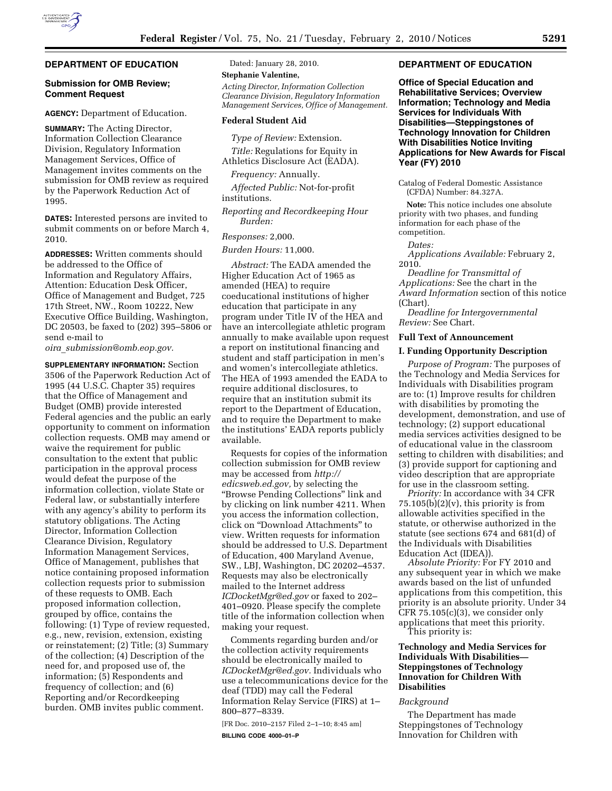# **DEPARTMENT OF EDUCATION**

# **Submission for OMB Review; Comment Request**

**AGENCY:** Department of Education.

**SUMMARY:** The Acting Director, Information Collection Clearance Division, Regulatory Information Management Services, Office of Management invites comments on the submission for OMB review as required by the Paperwork Reduction Act of 1995.

**DATES:** Interested persons are invited to submit comments on or before March 4, 2010.

**ADDRESSES:** Written comments should be addressed to the Office of Information and Regulatory Affairs, Attention: Education Desk Officer, Office of Management and Budget, 725 17th Street, NW., Room 10222, New Executive Office Building, Washington, DC 20503, be faxed to (202) 395–5806 or send e-mail to

*oira*\_*submission@omb.eop.gov.* 

**SUPPLEMENTARY INFORMATION:** Section 3506 of the Paperwork Reduction Act of 1995 (44 U.S.C. Chapter 35) requires that the Office of Management and Budget (OMB) provide interested Federal agencies and the public an early opportunity to comment on information collection requests. OMB may amend or waive the requirement for public consultation to the extent that public participation in the approval process would defeat the purpose of the information collection, violate State or Federal law, or substantially interfere with any agency's ability to perform its statutory obligations. The Acting Director, Information Collection Clearance Division, Regulatory Information Management Services, Office of Management, publishes that notice containing proposed information collection requests prior to submission of these requests to OMB. Each proposed information collection, grouped by office, contains the following: (1) Type of review requested, e.g., new, revision, extension, existing or reinstatement; (2) Title; (3) Summary of the collection; (4) Description of the need for, and proposed use of, the information; (5) Respondents and frequency of collection; and (6) Reporting and/or Recordkeeping burden. OMB invites public comment.

Dated: January 28, 2010.

**Stephanie Valentine,** 

*Acting Director, Information Collection Clearance Division, Regulatory Information Management Services, Office of Management.* 

### **Federal Student Aid**

*Type of Review:* Extension.

*Title:* Regulations for Equity in Athletics Disclosure Act (EADA).

*Frequency:* Annually.

*Affected Public:* Not-for-profit institutions.

*Reporting and Recordkeeping Hour Burden:* 

### *Responses:* 2,000.

*Burden Hours:* 11,000.

*Abstract:* The EADA amended the Higher Education Act of 1965 as amended (HEA) to require coeducational institutions of higher education that participate in any program under Title IV of the HEA and have an intercollegiate athletic program annually to make available upon request a report on institutional financing and student and staff participation in men's and women's intercollegiate athletics. The HEA of 1993 amended the EADA to require additional disclosures, to require that an institution submit its report to the Department of Education, and to require the Department to make the institutions' EADA reports publicly available.

Requests for copies of the information collection submission for OMB review may be accessed from *http:// edicsweb.ed.gov,* by selecting the ''Browse Pending Collections'' link and by clicking on link number 4211. When you access the information collection, click on ''Download Attachments'' to view. Written requests for information should be addressed to U.S. Department of Education, 400 Maryland Avenue, SW., LBJ, Washington, DC 20202–4537. Requests may also be electronically mailed to the Internet address *ICDocketMgr@ed.gov* or faxed to 202– 401–0920. Please specify the complete title of the information collection when making your request.

Comments regarding burden and/or the collection activity requirements should be electronically mailed to *ICDocketMgr@ed.gov.* Individuals who use a telecommunications device for the deaf (TDD) may call the Federal Information Relay Service (FIRS) at 1– 800–877–8339.

[FR Doc. 2010–2157 Filed 2–1–10; 8:45 am] **BILLING CODE 4000–01–P** 

# **DEPARTMENT OF EDUCATION**

**Office of Special Education and Rehabilitative Services; Overview Information; Technology and Media Services for Individuals With Disabilities—Steppingstones of Technology Innovation for Children With Disabilities Notice Inviting Applications for New Awards for Fiscal Year (FY) 2010** 

Catalog of Federal Domestic Assistance (CFDA) Number: 84.327A.

**Note:** This notice includes one absolute priority with two phases, and funding information for each phase of the competition.

*Dates:* 

*Applications Available:* February 2, 2010.

*Deadline for Transmittal of Applications:* See the chart in the *Award Information* section of this notice (Chart).

*Deadline for Intergovernmental Review:* See Chart.

### **Full Text of Announcement**

### **I. Funding Opportunity Description**

*Purpose of Program:* The purposes of the Technology and Media Services for Individuals with Disabilities program are to: (1) Improve results for children with disabilities by promoting the development, demonstration, and use of technology; (2) support educational media services activities designed to be of educational value in the classroom setting to children with disabilities; and (3) provide support for captioning and video description that are appropriate for use in the classroom setting.

*Priority:* In accordance with 34 CFR  $75.105(b)(2)(v)$ , this priority is from allowable activities specified in the statute, or otherwise authorized in the statute (see sections 674 and 681(d) of the Individuals with Disabilities Education Act (IDEA)).

*Absolute Priority:* For FY 2010 and any subsequent year in which we make awards based on the list of unfunded applications from this competition, this priority is an absolute priority. Under 34 CFR 75.105(c)(3), we consider only applications that meet this priority. This priority is:

**Technology and Media Services for Individuals With Disabilities— Steppingstones of Technology Innovation for Children With Disabilities** 

# *Background*

The Department has made Steppingstones of Technology Innovation for Children with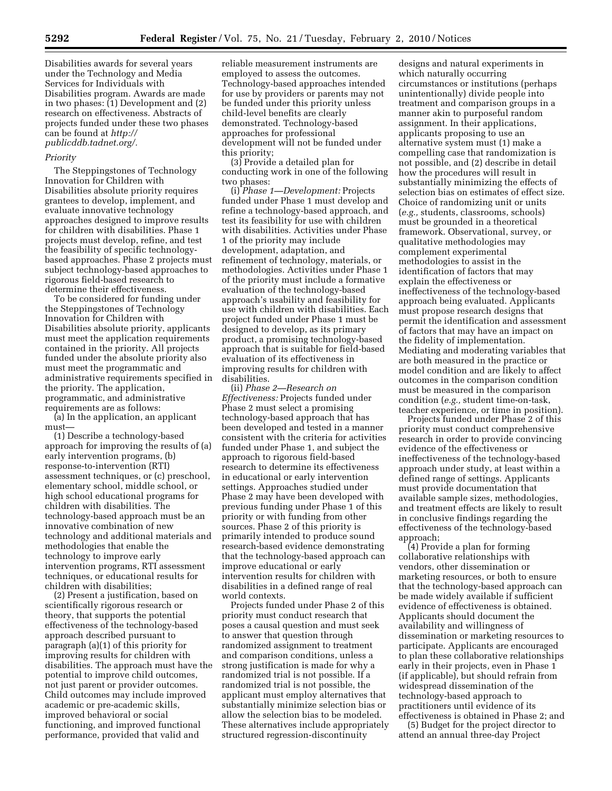Disabilities awards for several years under the Technology and Media Services for Individuals with Disabilities program. Awards are made in two phases: (1) Development and (2) research on effectiveness. Abstracts of projects funded under these two phases can be found at *http:// publicddb.tadnet.org/.* 

# *Priority*

The Steppingstones of Technology Innovation for Children with Disabilities absolute priority requires grantees to develop, implement, and evaluate innovative technology approaches designed to improve results for children with disabilities. Phase 1 projects must develop, refine, and test the feasibility of specific technologybased approaches. Phase 2 projects must subject technology-based approaches to rigorous field-based research to determine their effectiveness.

To be considered for funding under the Steppingstones of Technology Innovation for Children with Disabilities absolute priority, applicants must meet the application requirements contained in the priority. All projects funded under the absolute priority also must meet the programmatic and administrative requirements specified in the priority. The application, programmatic, and administrative requirements are as follows:

(a) In the application, an applicant must—

(1) Describe a technology-based approach for improving the results of (a) early intervention programs, (b) response-to-intervention (RTI) assessment techniques, or (c) preschool, elementary school, middle school, or high school educational programs for children with disabilities. The technology-based approach must be an innovative combination of new technology and additional materials and methodologies that enable the technology to improve early intervention programs, RTI assessment techniques, or educational results for children with disabilities;

(2) Present a justification, based on scientifically rigorous research or theory, that supports the potential effectiveness of the technology-based approach described pursuant to paragraph (a)(1) of this priority for improving results for children with disabilities. The approach must have the potential to improve child outcomes, not just parent or provider outcomes. Child outcomes may include improved academic or pre-academic skills, improved behavioral or social functioning, and improved functional performance, provided that valid and

reliable measurement instruments are employed to assess the outcomes. Technology-based approaches intended for use by providers or parents may not be funded under this priority unless child-level benefits are clearly demonstrated. Technology-based approaches for professional development will not be funded under this priority;

(3) Provide a detailed plan for conducting work in one of the following two phases:

(i) *Phase 1—Development:* Projects funded under Phase 1 must develop and refine a technology-based approach, and test its feasibility for use with children with disabilities. Activities under Phase 1 of the priority may include development, adaptation, and refinement of technology, materials, or methodologies. Activities under Phase 1 of the priority must include a formative evaluation of the technology-based approach's usability and feasibility for use with children with disabilities. Each project funded under Phase 1 must be designed to develop, as its primary product, a promising technology-based approach that is suitable for field-based evaluation of its effectiveness in improving results for children with disabilities.

(ii) *Phase 2—Research on Effectiveness:* Projects funded under Phase 2 must select a promising technology-based approach that has been developed and tested in a manner consistent with the criteria for activities funded under Phase 1, and subject the approach to rigorous field-based research to determine its effectiveness in educational or early intervention settings. Approaches studied under Phase 2 may have been developed with previous funding under Phase 1 of this priority or with funding from other sources. Phase 2 of this priority is primarily intended to produce sound research-based evidence demonstrating that the technology-based approach can improve educational or early intervention results for children with disabilities in a defined range of real world contexts.

Projects funded under Phase 2 of this priority must conduct research that poses a causal question and must seek to answer that question through randomized assignment to treatment and comparison conditions, unless a strong justification is made for why a randomized trial is not possible. If a randomized trial is not possible, the applicant must employ alternatives that substantially minimize selection bias or allow the selection bias to be modeled. These alternatives include appropriately structured regression-discontinuity

designs and natural experiments in which naturally occurring circumstances or institutions (perhaps unintentionally) divide people into treatment and comparison groups in a manner akin to purposeful random assignment. In their applications, applicants proposing to use an alternative system must (1) make a compelling case that randomization is not possible, and (2) describe in detail how the procedures will result in substantially minimizing the effects of selection bias on estimates of effect size. Choice of randomizing unit or units (*e.g.,* students, classrooms, schools) must be grounded in a theoretical framework. Observational, survey, or qualitative methodologies may complement experimental methodologies to assist in the identification of factors that may explain the effectiveness or ineffectiveness of the technology-based approach being evaluated. Applicants must propose research designs that permit the identification and assessment of factors that may have an impact on the fidelity of implementation. Mediating and moderating variables that are both measured in the practice or model condition and are likely to affect outcomes in the comparison condition must be measured in the comparison condition (*e.g.,* student time-on-task, teacher experience, or time in position).

Projects funded under Phase 2 of this priority must conduct comprehensive research in order to provide convincing evidence of the effectiveness or ineffectiveness of the technology-based approach under study, at least within a defined range of settings. Applicants must provide documentation that available sample sizes, methodologies, and treatment effects are likely to result in conclusive findings regarding the effectiveness of the technology-based approach;

(4) Provide a plan for forming collaborative relationships with vendors, other dissemination or marketing resources, or both to ensure that the technology-based approach can be made widely available if sufficient evidence of effectiveness is obtained. Applicants should document the availability and willingness of dissemination or marketing resources to participate. Applicants are encouraged to plan these collaborative relationships early in their projects, even in Phase 1 (if applicable), but should refrain from widespread dissemination of the technology-based approach to practitioners until evidence of its effectiveness is obtained in Phase 2; and

(5) Budget for the project director to attend an annual three-day Project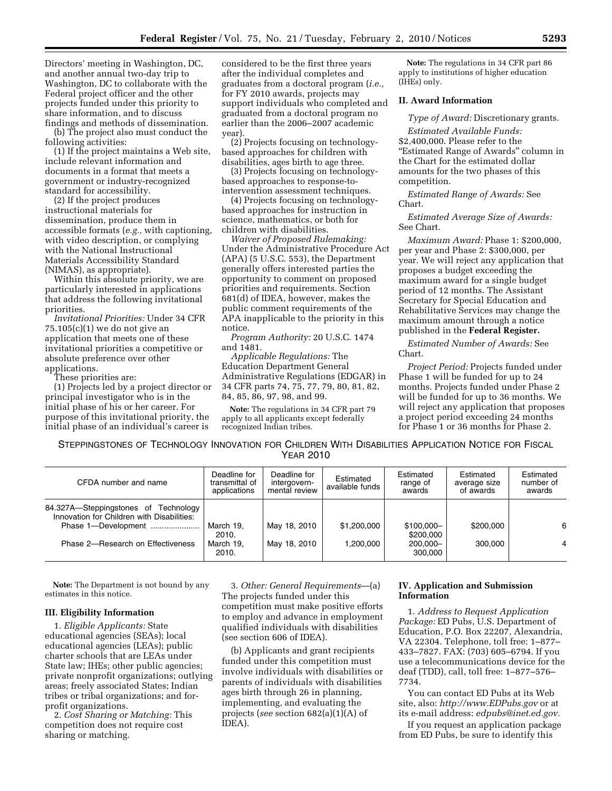Directors' meeting in Washington, DC, and another annual two-day trip to Washington, DC to collaborate with the Federal project officer and the other projects funded under this priority to share information, and to discuss findings and methods of dissemination.

(b) The project also must conduct the following activities:

(1) If the project maintains a Web site, include relevant information and documents in a format that meets a government or industry-recognized standard for accessibility.

(2) If the project produces instructional materials for dissemination, produce them in accessible formats (*e.g.,* with captioning, with video description, or complying with the National Instructional Materials Accessibility Standard (NIMAS), as appropriate).

Within this absolute priority, we are particularly interested in applications that address the following invitational priorities.

*Invitational Priorities:* Under 34 CFR 75.105(c)(1) we do not give an application that meets one of these invitational priorities a competitive or absolute preference over other applications.

These priorities are:

(1) Projects led by a project director or principal investigator who is in the initial phase of his or her career. For purpose of this invitational priority, the initial phase of an individual's career is

considered to be the first three years after the individual completes and graduates from a doctoral program (*i.e.,*  for FY 2010 awards, projects may support individuals who completed and graduated from a doctoral program no earlier than the 2006–2007 academic year).

(2) Projects focusing on technologybased approaches for children with disabilities, ages birth to age three.

(3) Projects focusing on technologybased approaches to response-tointervention assessment techniques.

(4) Projects focusing on technologybased approaches for instruction in science, mathematics, or both for children with disabilities.

*Waiver of Proposed Rulemaking:*  Under the Administrative Procedure Act (APA) (5 U.S.C. 553), the Department generally offers interested parties the opportunity to comment on proposed priorities and requirements. Section 681(d) of IDEA, however, makes the public comment requirements of the APA inapplicable to the priority in this notice.

*Program Authority:* 20 U.S.C. 1474 and 1481.

*Applicable Regulations:* The Education Department General Administrative Regulations (EDGAR) in 34 CFR parts 74, 75, 77, 79, 80, 81, 82, 84, 85, 86, 97, 98, and 99.

**Note:** The regulations in 34 CFR part 79 apply to all applicants except federally recognized Indian tribes.

**Note:** The regulations in 34 CFR part 86 apply to institutions of higher education (IHEs) only.

# **II. Award Information**

*Type of Award:* Discretionary grants.

*Estimated Available Funds:*  \$2,400,000. Please refer to the ''Estimated Range of Awards'' column in the Chart for the estimated dollar amounts for the two phases of this competition.

*Estimated Range of Awards:* See Chart.

*Estimated Average Size of Awards:*  See Chart.

*Maximum Award:* Phase 1: \$200,000, per year and Phase 2: \$300,000, per year. We will reject any application that proposes a budget exceeding the maximum award for a single budget period of 12 months. The Assistant Secretary for Special Education and Rehabilitative Services may change the maximum amount through a notice published in the **Federal Register.** 

*Estimated Number of Awards:* See Chart.

*Project Period:* Projects funded under Phase 1 will be funded for up to 24 months. Projects funded under Phase 2 will be funded for up to 36 months. We will reject any application that proposes a project period exceeding 24 months for Phase 1 or 36 months for Phase 2.

STEPPINGSTONES OF TECHNOLOGY INNOVATION FOR CHILDREN WITH DISABILITIES APPLICATION NOTICE FOR FISCAL YEAR 2010

| CFDA number and name                                                               | Deadline for<br>transmittal of<br>applications | Deadline for<br>intergovern-<br>mental review | Estimated<br>available funds | Estimated<br>range of<br>awards | Estimated<br>average size<br>of awards | Estimated<br>number of<br>awards |
|------------------------------------------------------------------------------------|------------------------------------------------|-----------------------------------------------|------------------------------|---------------------------------|----------------------------------------|----------------------------------|
| 84.327A-Steppingstones of Technology<br>Innovation for Children with Disabilities: |                                                |                                               |                              |                                 |                                        |                                  |
| Phase 1-Development                                                                | March 19,<br>2010.                             | May 18, 2010                                  | \$1,200,000                  | \$100,000-<br>\$200,000         | \$200,000                              | 6                                |
| Phase 2-Research on Effectiveness                                                  | March 19,<br>2010.                             | May 18, 2010                                  | 1.200.000                    | 200.000-<br>300.000             | 300,000                                |                                  |

**Note:** The Department is not bound by any estimates in this notice.

### **III. Eligibility Information**

1. *Eligible Applicants:* State educational agencies (SEAs); local educational agencies (LEAs); public charter schools that are LEAs under State law; IHEs; other public agencies; private nonprofit organizations; outlying areas; freely associated States; Indian tribes or tribal organizations; and forprofit organizations.

2. *Cost Sharing or Matching:* This competition does not require cost sharing or matching.

3. *Other: General Requirements*—(a) The projects funded under this competition must make positive efforts to employ and advance in employment qualified individuals with disabilities (see section 606 of IDEA).

(b) Applicants and grant recipients funded under this competition must involve individuals with disabilities or parents of individuals with disabilities ages birth through 26 in planning, implementing, and evaluating the projects (*see* section 682(a)(1)(A) of IDEA).

# **IV. Application and Submission Information**

1. *Address to Request Application Package:* ED Pubs, U.S. Department of Education, P.O. Box 22207, Alexandria, VA 22304. Telephone, toll free: 1–877– 433–7827. FAX: (703) 605–6794. If you use a telecommunications device for the deaf (TDD), call, toll free: 1–877–576– 7734.

You can contact ED Pubs at its Web site, also: *http://www.EDPubs.gov* or at its e-mail address: *edpubs@inet.ed.gov.* 

If you request an application package from ED Pubs, be sure to identify this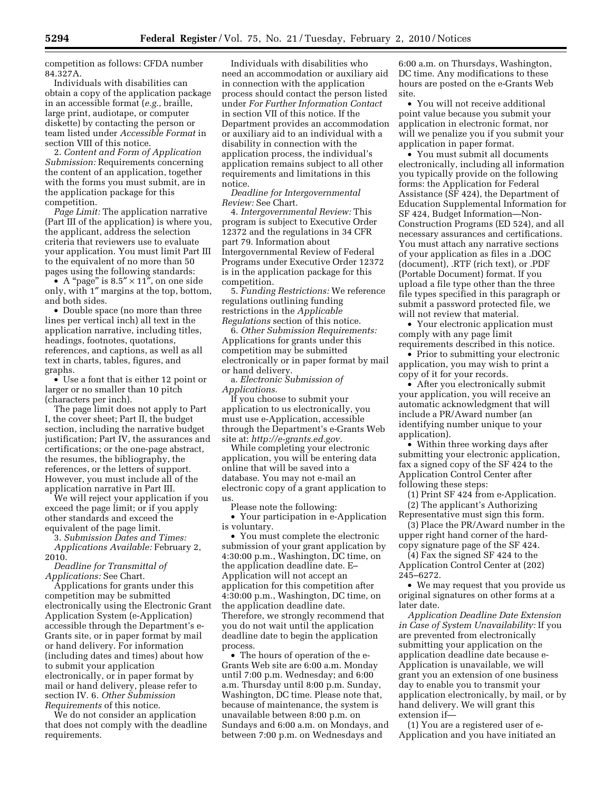competition as follows: CFDA number 84.327A.

Individuals with disabilities can obtain a copy of the application package in an accessible format (*e.g.,* braille, large print, audiotape, or computer diskette) by contacting the person or team listed under *Accessible Format* in section VIII of this notice.

2. *Content and Form of Application Submission:* Requirements concerning the content of an application, together with the forms you must submit, are in the application package for this competition.

*Page Limit:* The application narrative (Part III of the application) is where you, the applicant, address the selection criteria that reviewers use to evaluate your application. You must limit Part III to the equivalent of no more than 50 pages using the following standards:

• A "page" is  $8.5'' \times 11''$ , on one side only, with 1″ margins at the top, bottom, and both sides.

• Double space (no more than three lines per vertical inch) all text in the application narrative, including titles, headings, footnotes, quotations, references, and captions, as well as all text in charts, tables, figures, and graphs.

• Use a font that is either 12 point or larger or no smaller than 10 pitch (characters per inch).

The page limit does not apply to Part I, the cover sheet; Part II, the budget section, including the narrative budget justification; Part IV, the assurances and certifications; or the one-page abstract, the resumes, the bibliography, the references, or the letters of support. However, you must include all of the application narrative in Part III.

We will reject your application if you exceed the page limit; or if you apply other standards and exceed the equivalent of the page limit.

3. *Submission Dates and Times: Applications Available:* February 2, 2010.

*Deadline for Transmittal of Applications:* See Chart.

Applications for grants under this competition may be submitted electronically using the Electronic Grant Application System (e-Application) accessible through the Department's e-Grants site, or in paper format by mail or hand delivery. For information (including dates and times) about how to submit your application electronically, or in paper format by mail or hand delivery, please refer to section IV. 6. *Other Submission Requirements* of this notice.

We do not consider an application that does not comply with the deadline requirements.

Individuals with disabilities who need an accommodation or auxiliary aid in connection with the application process should contact the person listed under *For Further Information Contact*  in section VII of this notice. If the Department provides an accommodation or auxiliary aid to an individual with a disability in connection with the application process, the individual's application remains subject to all other requirements and limitations in this notice.

*Deadline for Intergovernmental Review:* See Chart.

4. *Intergovernmental Review:* This program is subject to Executive Order 12372 and the regulations in 34 CFR part 79. Information about Intergovernmental Review of Federal Programs under Executive Order 12372 is in the application package for this competition.

5. *Funding Restrictions:* We reference regulations outlining funding restrictions in the *Applicable Regulations* section of this notice.

6. *Other Submission Requirements:*  Applications for grants under this competition may be submitted electronically or in paper format by mail or hand delivery.

a. *Electronic Submission of Applications.* 

If you choose to submit your application to us electronically, you must use e-Application, accessible through the Department's e-Grants Web site at: *http://e-grants.ed.gov.* 

While completing your electronic application, you will be entering data online that will be saved into a database. You may not e-mail an electronic copy of a grant application to us.

Please note the following:

• Your participation in e-Application is voluntary.

• You must complete the electronic submission of your grant application by 4:30:00 p.m., Washington, DC time, on the application deadline date. E– Application will not accept an application for this competition after 4:30:00 p.m., Washington, DC time, on the application deadline date. Therefore, we strongly recommend that you do not wait until the application deadline date to begin the application process.

• The hours of operation of the e-Grants Web site are 6:00 a.m. Monday until 7:00 p.m. Wednesday; and 6:00 a.m. Thursday until 8:00 p.m. Sunday, Washington, DC time. Please note that, because of maintenance, the system is unavailable between 8:00 p.m. on Sundays and 6:00 a.m. on Mondays, and between 7:00 p.m. on Wednesdays and

6:00 a.m. on Thursdays, Washington, DC time. Any modifications to these hours are posted on the e-Grants Web site.

• You will not receive additional point value because you submit your application in electronic format, nor will we penalize you if you submit your application in paper format.

• You must submit all documents electronically, including all information you typically provide on the following forms: the Application for Federal Assistance (SF 424), the Department of Education Supplemental Information for SF 424, Budget Information—Non-Construction Programs (ED 524), and all necessary assurances and certifications. You must attach any narrative sections of your application as files in a .DOC (document), .RTF (rich text), or .PDF (Portable Document) format. If you upload a file type other than the three file types specified in this paragraph or submit a password protected file, we will not review that material.

• Your electronic application must comply with any page limit requirements described in this notice.

• Prior to submitting your electronic application, you may wish to print a copy of it for your records.

• After you electronically submit your application, you will receive an automatic acknowledgment that will include a PR/Award number (an identifying number unique to your application).

• Within three working days after submitting your electronic application, fax a signed copy of the SF 424 to the Application Control Center after following these steps:

(1) Print SF 424 from e-Application. (2) The applicant's Authorizing

Representative must sign this form. (3) Place the PR/Award number in the

upper right hand corner of the hardcopy signature page of the SF 424.

(4) Fax the signed SF 424 to the Application Control Center at (202) 245–6272.

• We may request that you provide us original signatures on other forms at a later date.

*Application Deadline Date Extension in Case of System Unavailability:* If you are prevented from electronically submitting your application on the application deadline date because e-Application is unavailable, we will grant you an extension of one business day to enable you to transmit your application electronically, by mail, or by hand delivery. We will grant this extension if—

(1) You are a registered user of e-Application and you have initiated an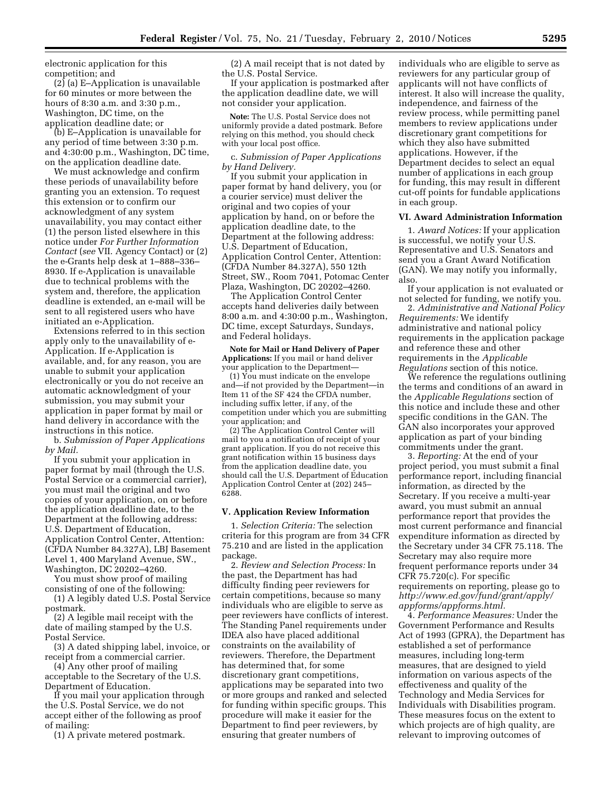electronic application for this competition; and

(2) (a) E–Application is unavailable for 60 minutes or more between the hours of 8:30 a.m. and 3:30 p.m., Washington, DC time, on the application deadline date; or

(b) E–Application is unavailable for any period of time between 3:30 p.m. and 4:30:00 p.m., Washington, DC time, on the application deadline date.

We must acknowledge and confirm these periods of unavailability before granting you an extension. To request this extension or to confirm our acknowledgment of any system unavailability, you may contact either (1) the person listed elsewhere in this notice under *For Further Information Contact* (*see* VII. Agency Contact) or (2) the e-Grants help desk at 1–888–336– 8930. If e-Application is unavailable due to technical problems with the system and, therefore, the application deadline is extended, an e-mail will be sent to all registered users who have initiated an e-Application.

Extensions referred to in this section apply only to the unavailability of e-Application. If e-Application is available, and, for any reason, you are unable to submit your application electronically or you do not receive an automatic acknowledgment of your submission, you may submit your application in paper format by mail or hand delivery in accordance with the instructions in this notice.

b. *Submission of Paper Applications by Mail.* 

If you submit your application in paper format by mail (through the U.S. Postal Service or a commercial carrier), you must mail the original and two copies of your application, on or before the application deadline date, to the Department at the following address: U.S. Department of Education, Application Control Center, Attention: (CFDA Number 84.327A), LBJ Basement Level 1, 400 Maryland Avenue, SW., Washington, DC 20202–4260.

You must show proof of mailing consisting of one of the following:

(1) A legibly dated U.S. Postal Service postmark.

(2) A legible mail receipt with the date of mailing stamped by the U.S. Postal Service.

(3) A dated shipping label, invoice, or receipt from a commercial carrier.

(4) Any other proof of mailing acceptable to the Secretary of the U.S. Department of Education.

If you mail your application through the U.S. Postal Service, we do not accept either of the following as proof of mailing:

(1) A private metered postmark.

(2) A mail receipt that is not dated by the U.S. Postal Service.

If your application is postmarked after the application deadline date, we will not consider your application.

**Note:** The U.S. Postal Service does not uniformly provide a dated postmark. Before relying on this method, you should check with your local post office.

c. *Submission of Paper Applications by Hand Delivery.* 

If you submit your application in paper format by hand delivery, you (or a courier service) must deliver the original and two copies of your application by hand, on or before the application deadline date, to the Department at the following address: U.S. Department of Education, Application Control Center, Attention: (CFDA Number 84.327A), 550 12th Street, SW., Room 7041, Potomac Center Plaza, Washington, DC 20202–4260.

The Application Control Center accepts hand deliveries daily between 8:00 a.m. and 4:30:00 p.m., Washington, DC time, except Saturdays, Sundays, and Federal holidays.

**Note for Mail or Hand Delivery of Paper Applications:** If you mail or hand deliver your application to the Department—

(1) You must indicate on the envelope and—if not provided by the Department—in Item 11 of the SF 424 the CFDA number, including suffix letter, if any, of the competition under which you are submitting your application; and

(2) The Application Control Center will mail to you a notification of receipt of your grant application. If you do not receive this grant notification within 15 business days from the application deadline date, you should call the U.S. Department of Education Application Control Center at (202) 245– 6288.

### **V. Application Review Information**

1. *Selection Criteria:* The selection criteria for this program are from 34 CFR 75.210 and are listed in the application package.

2. *Review and Selection Process:* In the past, the Department has had difficulty finding peer reviewers for certain competitions, because so many individuals who are eligible to serve as peer reviewers have conflicts of interest. The Standing Panel requirements under IDEA also have placed additional constraints on the availability of reviewers. Therefore, the Department has determined that, for some discretionary grant competitions, applications may be separated into two or more groups and ranked and selected for funding within specific groups. This procedure will make it easier for the Department to find peer reviewers, by ensuring that greater numbers of

individuals who are eligible to serve as reviewers for any particular group of applicants will not have conflicts of interest. It also will increase the quality, independence, and fairness of the review process, while permitting panel members to review applications under discretionary grant competitions for which they also have submitted applications. However, if the Department decides to select an equal number of applications in each group for funding, this may result in different cut-off points for fundable applications in each group.

#### **VI. Award Administration Information**

1. *Award Notices:* If your application is successful, we notify your U.S. Representative and U.S. Senators and send you a Grant Award Notification (GAN). We may notify you informally, also.

If your application is not evaluated or not selected for funding, we notify you.

2. *Administrative and National Policy Requirements:* We identify administrative and national policy requirements in the application package and reference these and other requirements in the *Applicable Regulations* section of this notice.

We reference the regulations outlining the terms and conditions of an award in the *Applicable Regulations* section of this notice and include these and other specific conditions in the GAN. The GAN also incorporates your approved application as part of your binding commitments under the grant.

3. *Reporting:* At the end of your project period, you must submit a final performance report, including financial information, as directed by the Secretary. If you receive a multi-year award, you must submit an annual performance report that provides the most current performance and financial expenditure information as directed by the Secretary under 34 CFR 75.118. The Secretary may also require more frequent performance reports under 34 CFR 75.720(c). For specific requirements on reporting, please go to *http://www.ed.gov/fund/grant/apply/ appforms/appforms.html.* 

4. *Performance Measures:* Under the Government Performance and Results Act of 1993 (GPRA), the Department has established a set of performance measures, including long-term measures, that are designed to yield information on various aspects of the effectiveness and quality of the Technology and Media Services for Individuals with Disabilities program. These measures focus on the extent to which projects are of high quality, are relevant to improving outcomes of